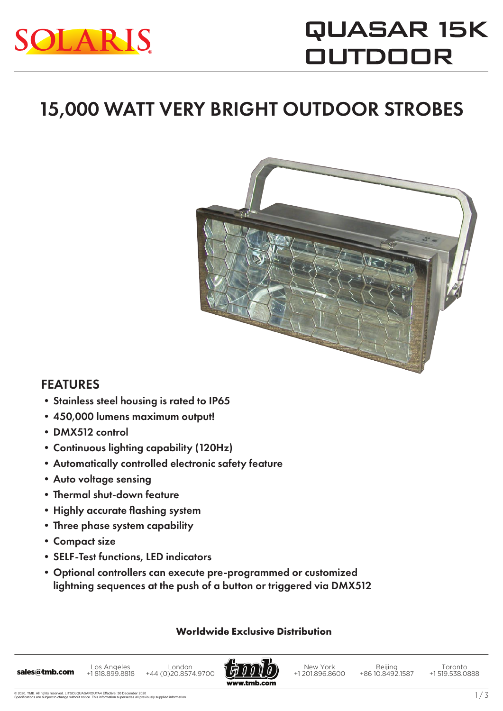

# QUASAR 15K **OUTDOOR**

### 15,000 WATT VERY BRIGHT OUTDOOR STROBES



### FEATURES

- •Stainless steel housing is rated to IP65
- •450,000 lumens maximum output!
- •DMX512 control
- •Continuous lighting capability (120Hz)
- •Automatically controlled electronic safety feature
- •Auto voltage sensing
- •Thermal shut-down feature
- •Highly accurate flashing system
- •Three phase system capability
- •Compact size
- •SELF-Test functions, LED indicators
- •Optional controllers can execute pre-programmed or customized lightning sequences at the push of a button or triggered via DMX512

#### **Worldwide Exclusive Distribution**

Los Angeles +1 818.899.8818 London London London London +1818.899.8818 +44 (0)20.8574.9700



New York +1 201.896.8600

Beijing +86 10.8492.1587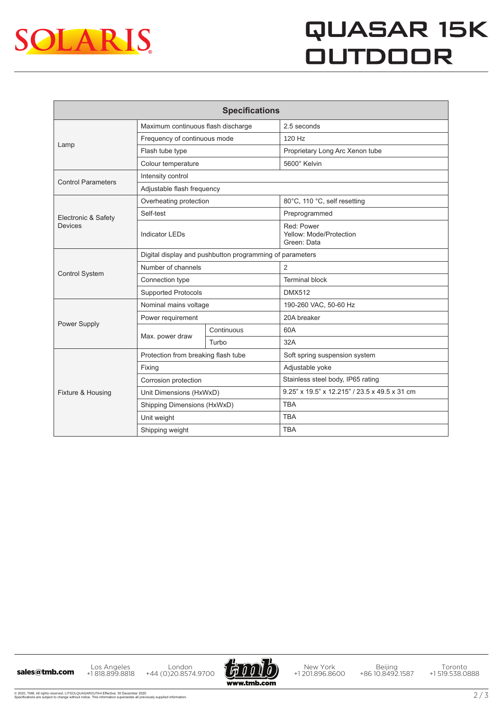

## **QUASAR 15K OUTDOOR**

| <b>Specifications</b>          |                                                          |            |                                                      |
|--------------------------------|----------------------------------------------------------|------------|------------------------------------------------------|
| Lamp                           | Maximum continuous flash discharge                       |            | 2.5 seconds                                          |
|                                | Frequency of continuous mode                             |            | 120 Hz                                               |
|                                | Flash tube type                                          |            | Proprietary Long Arc Xenon tube                      |
|                                | Colour temperature                                       |            | 5600° Kelvin                                         |
| <b>Control Parameters</b>      | Intensity control                                        |            |                                                      |
|                                | Adjustable flash frequency                               |            |                                                      |
| Electronic & Safety<br>Devices | Overheating protection                                   |            | 80°C, 110 °C, self resetting                         |
|                                | Self-test                                                |            | Preprogrammed                                        |
|                                | <b>Indicator LEDs</b>                                    |            | Red: Power<br>Yellow: Mode/Protection<br>Green: Data |
| <b>Control System</b>          | Digital display and pushbutton programming of parameters |            |                                                      |
|                                | Number of channels                                       |            | 2                                                    |
|                                | Connection type                                          |            | <b>Terminal block</b>                                |
|                                | <b>Supported Protocols</b>                               |            | <b>DMX512</b>                                        |
| Power Supply                   | Nominal mains voltage                                    |            | 190-260 VAC, 50-60 Hz                                |
|                                | Power requirement                                        |            | 20A breaker                                          |
|                                | Max. power draw                                          | Continuous | 60A                                                  |
|                                |                                                          | Turbo      | 32A                                                  |
| Fixture & Housing              | Protection from breaking flash tube                      |            | Soft spring suspension system                        |
|                                | Fixing                                                   |            | Adjustable yoke                                      |
|                                | Corrosion protection                                     |            | Stainless steel body, IP65 rating                    |
|                                | Unit Dimensions (HxWxD)                                  |            | 9.25" x 19.5" x 12.215" / 23.5 x 49.5 x 31 cm        |
|                                | Shipping Dimensions (HxWxD)                              |            | <b>TBA</b>                                           |
|                                | Unit weight                                              |            | <b>TBA</b>                                           |
|                                | Shipping weight                                          |            | <b>TBA</b>                                           |

Los Angeles +1 818.899.8818 Los Angeles London<br>**sales@tmb.com** +1818.899.8818 +44 (0)20.8574.9700



New York +1 201.896.8600

Beijing +86 10.8492.1587